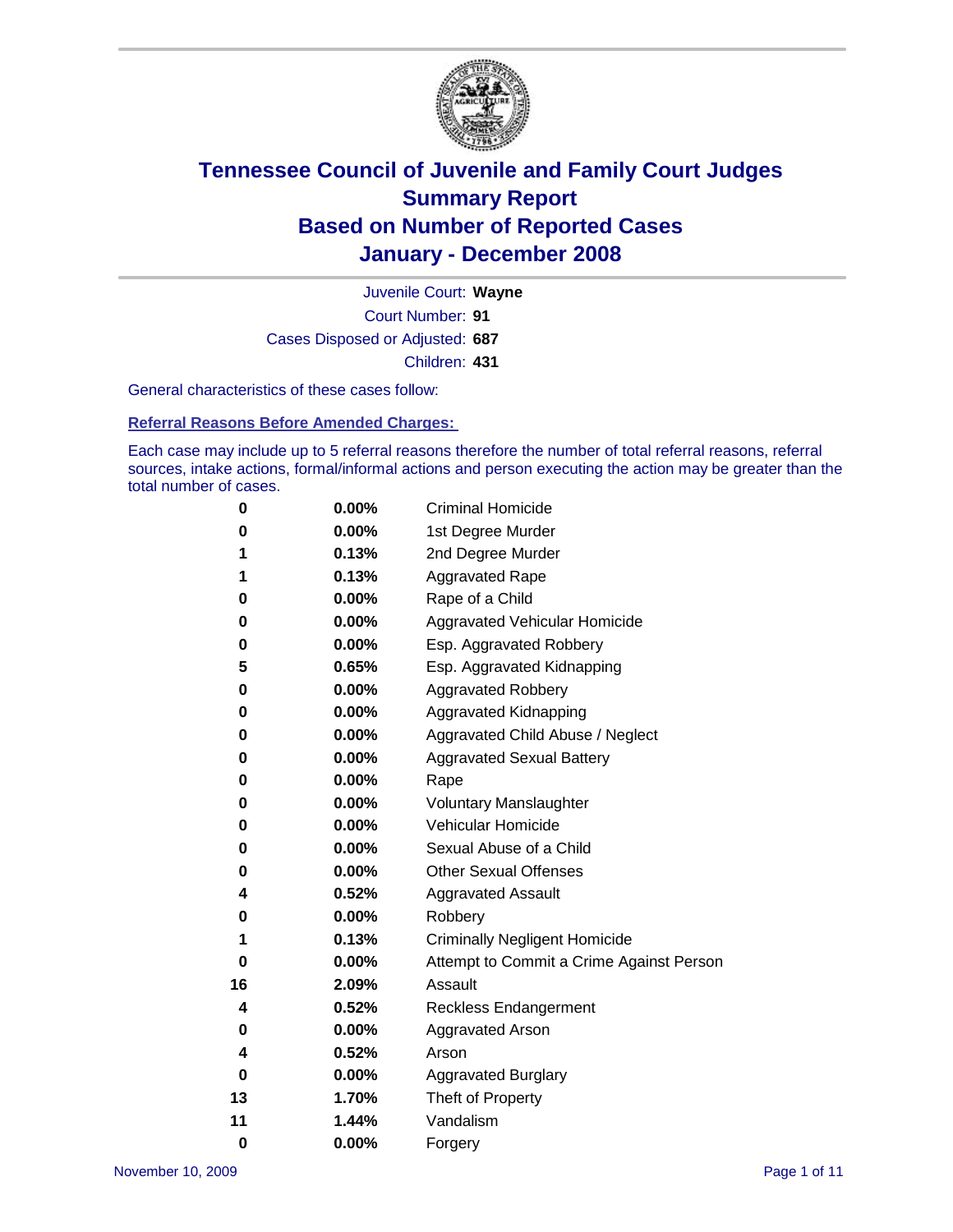

Court Number: **91** Juvenile Court: **Wayne** Cases Disposed or Adjusted: **687** Children: **431**

General characteristics of these cases follow:

**Referral Reasons Before Amended Charges:** 

Each case may include up to 5 referral reasons therefore the number of total referral reasons, referral sources, intake actions, formal/informal actions and person executing the action may be greater than the total number of cases.

| 0        | 0.00%    | <b>Criminal Homicide</b>                 |  |  |
|----------|----------|------------------------------------------|--|--|
| 0        | 0.00%    | 1st Degree Murder                        |  |  |
| 1        | 0.13%    | 2nd Degree Murder                        |  |  |
| 1        | 0.13%    | <b>Aggravated Rape</b>                   |  |  |
| 0        | 0.00%    | Rape of a Child                          |  |  |
| 0        | 0.00%    | Aggravated Vehicular Homicide            |  |  |
| 0        | 0.00%    | Esp. Aggravated Robbery                  |  |  |
| 5        | 0.65%    | Esp. Aggravated Kidnapping               |  |  |
| 0        | 0.00%    | <b>Aggravated Robbery</b>                |  |  |
| 0        | 0.00%    | Aggravated Kidnapping                    |  |  |
| 0        | 0.00%    | Aggravated Child Abuse / Neglect         |  |  |
| 0        | 0.00%    | <b>Aggravated Sexual Battery</b>         |  |  |
| 0        | 0.00%    | Rape                                     |  |  |
| 0        | 0.00%    | <b>Voluntary Manslaughter</b>            |  |  |
| 0        | 0.00%    | Vehicular Homicide                       |  |  |
| 0        | 0.00%    | Sexual Abuse of a Child                  |  |  |
| 0        | 0.00%    | <b>Other Sexual Offenses</b>             |  |  |
| 4        | 0.52%    | <b>Aggravated Assault</b>                |  |  |
| 0        | 0.00%    | Robbery                                  |  |  |
| 1        | 0.13%    | <b>Criminally Negligent Homicide</b>     |  |  |
| 0        | 0.00%    | Attempt to Commit a Crime Against Person |  |  |
| 16       | 2.09%    | Assault                                  |  |  |
| 4        | 0.52%    | <b>Reckless Endangerment</b>             |  |  |
| 0        | $0.00\%$ | <b>Aggravated Arson</b>                  |  |  |
| 4        | 0.52%    | Arson                                    |  |  |
| 0        | 0.00%    | <b>Aggravated Burglary</b>               |  |  |
| 13       | 1.70%    | Theft of Property                        |  |  |
| 11       | 1.44%    | Vandalism                                |  |  |
| $\bf{0}$ | 0.00%    | Forgery                                  |  |  |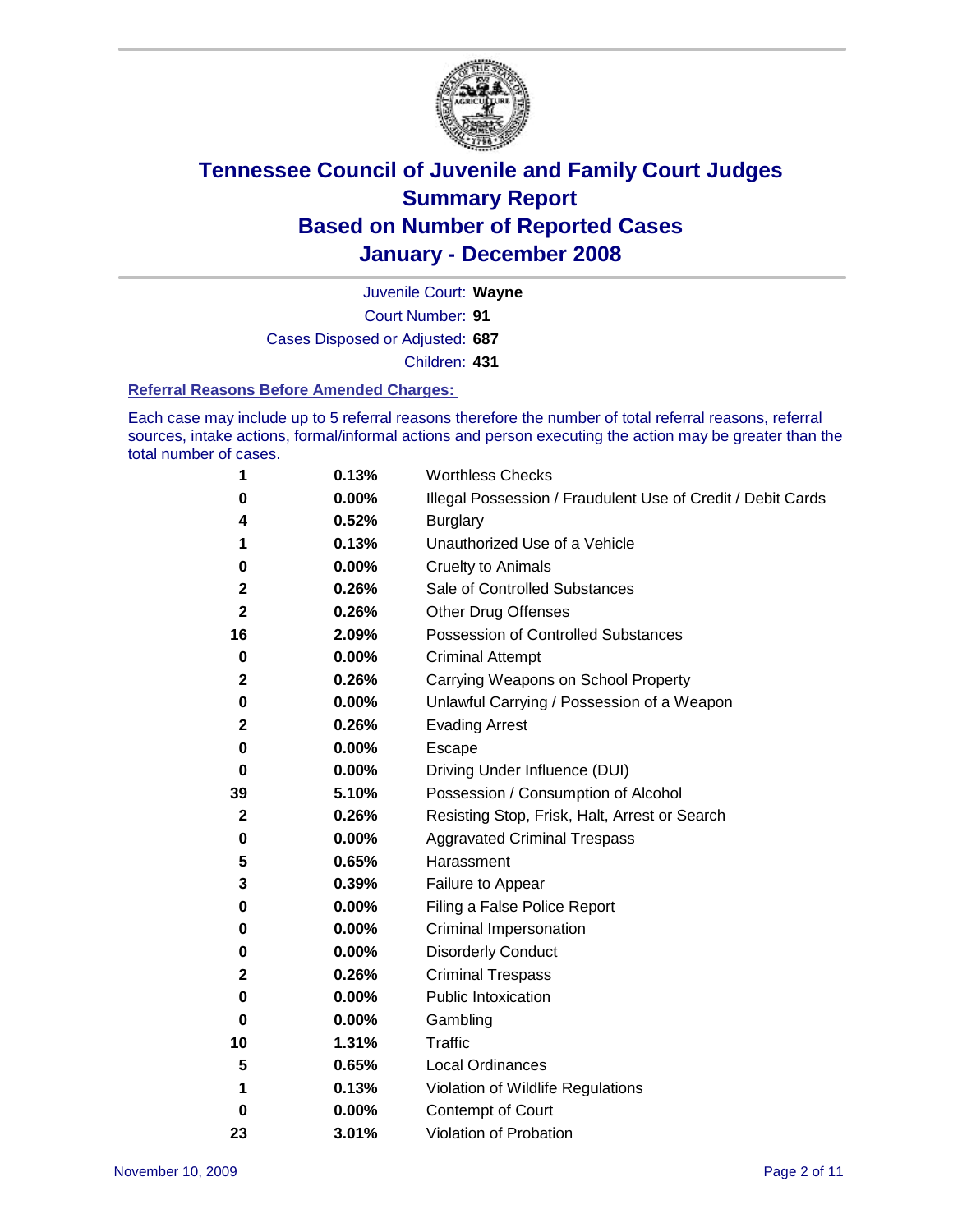

Court Number: **91** Juvenile Court: **Wayne** Cases Disposed or Adjusted: **687** Children: **431**

#### **Referral Reasons Before Amended Charges:**

Each case may include up to 5 referral reasons therefore the number of total referral reasons, referral sources, intake actions, formal/informal actions and person executing the action may be greater than the total number of cases.

| 1            | 0.13%    | <b>Worthless Checks</b>                                     |
|--------------|----------|-------------------------------------------------------------|
| 0            | 0.00%    | Illegal Possession / Fraudulent Use of Credit / Debit Cards |
| 4            | 0.52%    | <b>Burglary</b>                                             |
| 1            | 0.13%    | Unauthorized Use of a Vehicle                               |
| 0            | 0.00%    | <b>Cruelty to Animals</b>                                   |
| 2            | 0.26%    | Sale of Controlled Substances                               |
| 2            | 0.26%    | <b>Other Drug Offenses</b>                                  |
| 16           | 2.09%    | Possession of Controlled Substances                         |
| 0            | $0.00\%$ | <b>Criminal Attempt</b>                                     |
| $\mathbf{2}$ | 0.26%    | Carrying Weapons on School Property                         |
| 0            | 0.00%    | Unlawful Carrying / Possession of a Weapon                  |
| 2            | 0.26%    | <b>Evading Arrest</b>                                       |
| 0            | 0.00%    | Escape                                                      |
| 0            | 0.00%    | Driving Under Influence (DUI)                               |
| 39           | 5.10%    | Possession / Consumption of Alcohol                         |
| 2            | 0.26%    | Resisting Stop, Frisk, Halt, Arrest or Search               |
| 0            | 0.00%    | <b>Aggravated Criminal Trespass</b>                         |
| 5            | 0.65%    | Harassment                                                  |
| 3            | 0.39%    | Failure to Appear                                           |
| 0            | 0.00%    | Filing a False Police Report                                |
| 0            | $0.00\%$ | Criminal Impersonation                                      |
| 0            | 0.00%    | <b>Disorderly Conduct</b>                                   |
| 2            | 0.26%    | <b>Criminal Trespass</b>                                    |
| 0            | 0.00%    | <b>Public Intoxication</b>                                  |
| 0            | 0.00%    | Gambling                                                    |
| 10           | 1.31%    | Traffic                                                     |
| 5            | 0.65%    | <b>Local Ordinances</b>                                     |
| 1            | 0.13%    | Violation of Wildlife Regulations                           |
| 0            | 0.00%    | Contempt of Court                                           |
| 23           | 3.01%    | Violation of Probation                                      |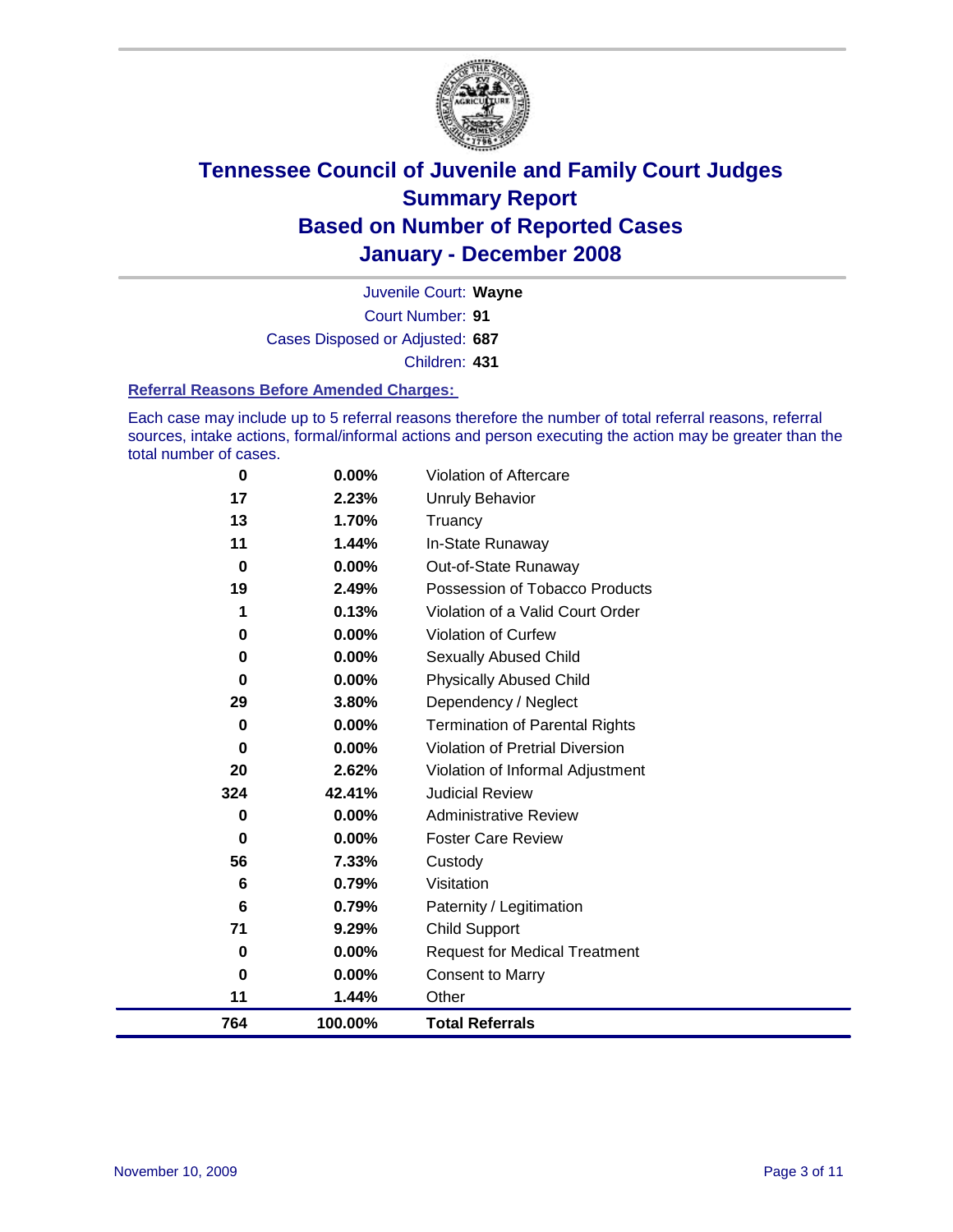

Court Number: **91** Juvenile Court: **Wayne** Cases Disposed or Adjusted: **687** Children: **431**

#### **Referral Reasons Before Amended Charges:**

Each case may include up to 5 referral reasons therefore the number of total referral reasons, referral sources, intake actions, formal/informal actions and person executing the action may be greater than the total number of cases.

| 764      | 100.00%  | <b>Total Referrals</b>                 |
|----------|----------|----------------------------------------|
| 11       | 1.44%    | Other                                  |
| $\bf{0}$ | 0.00%    | <b>Consent to Marry</b>                |
| 0        | 0.00%    | <b>Request for Medical Treatment</b>   |
| 71       | 9.29%    | <b>Child Support</b>                   |
| 6        | 0.79%    | Paternity / Legitimation               |
| 6        | 0.79%    | Visitation                             |
| 56       | 7.33%    | Custody                                |
| 0        | 0.00%    | <b>Foster Care Review</b>              |
| 0        | 0.00%    | <b>Administrative Review</b>           |
| 324      | 42.41%   | <b>Judicial Review</b>                 |
| 20       | 2.62%    | Violation of Informal Adjustment       |
| $\bf{0}$ | 0.00%    | <b>Violation of Pretrial Diversion</b> |
| 0        | 0.00%    | <b>Termination of Parental Rights</b>  |
| 29       | 3.80%    | Dependency / Neglect                   |
| $\bf{0}$ | 0.00%    | <b>Physically Abused Child</b>         |
| 0        | $0.00\%$ | <b>Sexually Abused Child</b>           |
| 0        | 0.00%    | <b>Violation of Curfew</b>             |
| 1        | 0.13%    | Violation of a Valid Court Order       |
| 19       | 2.49%    | Possession of Tobacco Products         |
| 0        | 0.00%    | Out-of-State Runaway                   |
| 11       | 1.44%    | In-State Runaway                       |
| 13       | 1.70%    | Truancy                                |
| 17       | 2.23%    | <b>Unruly Behavior</b>                 |
| 0        | 0.00%    | Violation of Aftercare                 |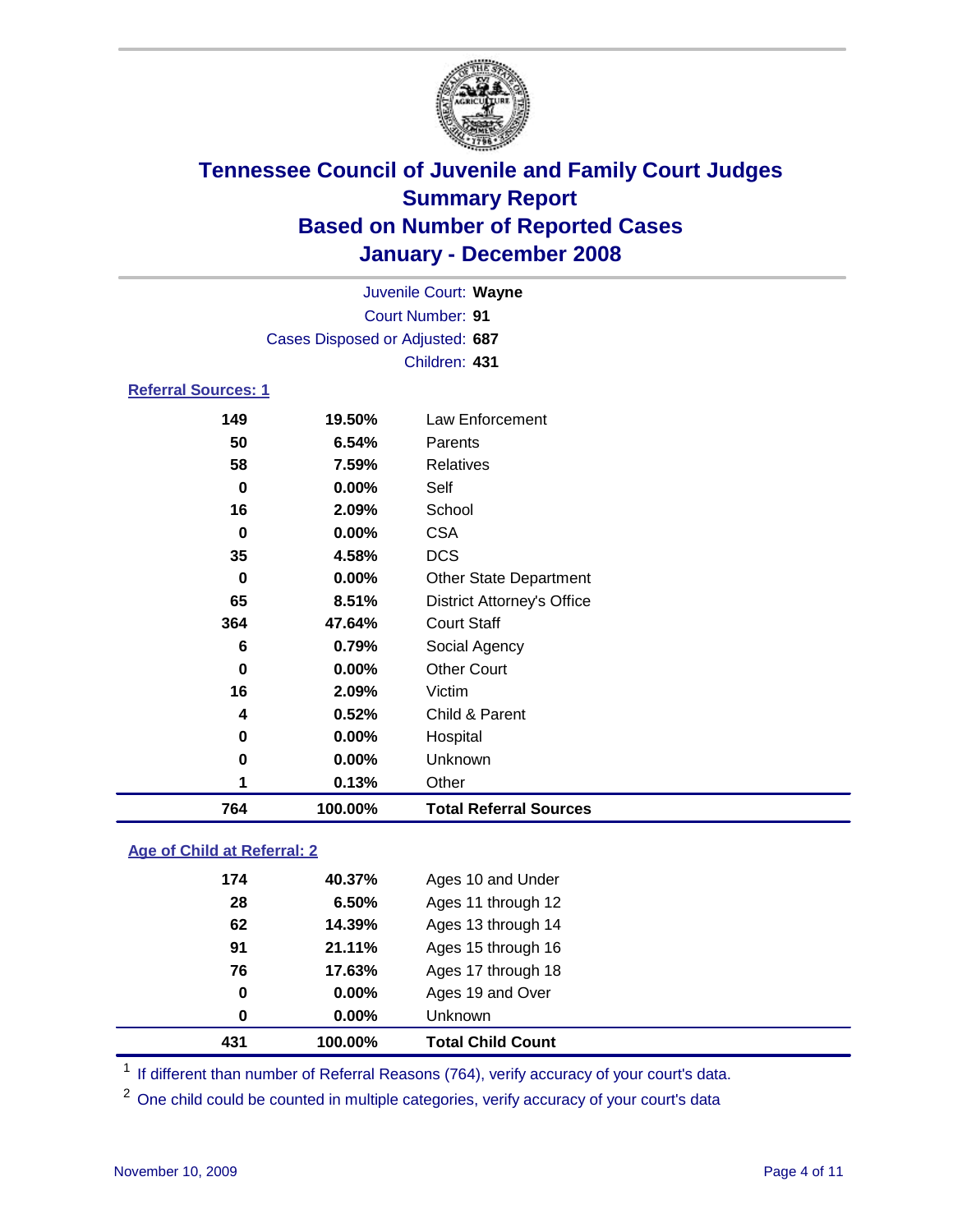

|                            |                                 | Juvenile Court: Wayne         |  |  |  |  |  |
|----------------------------|---------------------------------|-------------------------------|--|--|--|--|--|
|                            | Court Number: 91                |                               |  |  |  |  |  |
|                            | Cases Disposed or Adjusted: 687 |                               |  |  |  |  |  |
|                            | Children: 431                   |                               |  |  |  |  |  |
| <b>Referral Sources: 1</b> |                                 |                               |  |  |  |  |  |
| 149                        | 19.50%                          | Law Enforcement               |  |  |  |  |  |
| 50                         | 6.54%                           | Parents                       |  |  |  |  |  |
| 58                         | 7.59%                           | Relatives                     |  |  |  |  |  |
| 0                          | $0.00\%$                        | Self                          |  |  |  |  |  |
| 16                         | 2.09%                           | School                        |  |  |  |  |  |
| 0                          | 0.00%                           | <b>CSA</b>                    |  |  |  |  |  |
| 35                         | 4.58%                           | <b>DCS</b>                    |  |  |  |  |  |
| 0                          | 0.00%                           | <b>Other State Department</b> |  |  |  |  |  |
| ~-                         | 8 F.M.                          |                               |  |  |  |  |  |

| 764         | 100.00%  | <b>Total Referral Sources</b>     |
|-------------|----------|-----------------------------------|
|             | 0.13%    | Other                             |
| 0           | 0.00%    | Unknown                           |
| 0           | 0.00%    | Hospital                          |
| 4           | 0.52%    | Child & Parent                    |
| 16          | 2.09%    | Victim                            |
| $\mathbf 0$ | $0.00\%$ | <b>Other Court</b>                |
| 6           | 0.79%    | Social Agency                     |
| 364         | 47.64%   | <b>Court Staff</b>                |
| 65          | 8.51%    | <b>District Attorney's Office</b> |
| 0           | 0.00%    | <b>Other State Department</b>     |
| 35          | 4.58%    | <b>DCS</b>                        |
| 0           | 0.00%    | <b>CSA</b>                        |
| 16          | 2.09%    | School                            |
| ັ           | v.vv /v  | ◡◡┅                               |

### **Age of Child at Referral: 2**

| 431 | 100.00% | <b>Total Child Count</b> |
|-----|---------|--------------------------|
| 0   | 0.00%   | Unknown                  |
| 0   | 0.00%   | Ages 19 and Over         |
| 76  | 17.63%  | Ages 17 through 18       |
| 91  | 21.11%  | Ages 15 through 16       |
| 62  | 14.39%  | Ages 13 through 14       |
| 28  | 6.50%   | Ages 11 through 12       |
| 174 | 40.37%  | Ages 10 and Under        |
|     |         |                          |

<sup>1</sup> If different than number of Referral Reasons (764), verify accuracy of your court's data.

<sup>2</sup> One child could be counted in multiple categories, verify accuracy of your court's data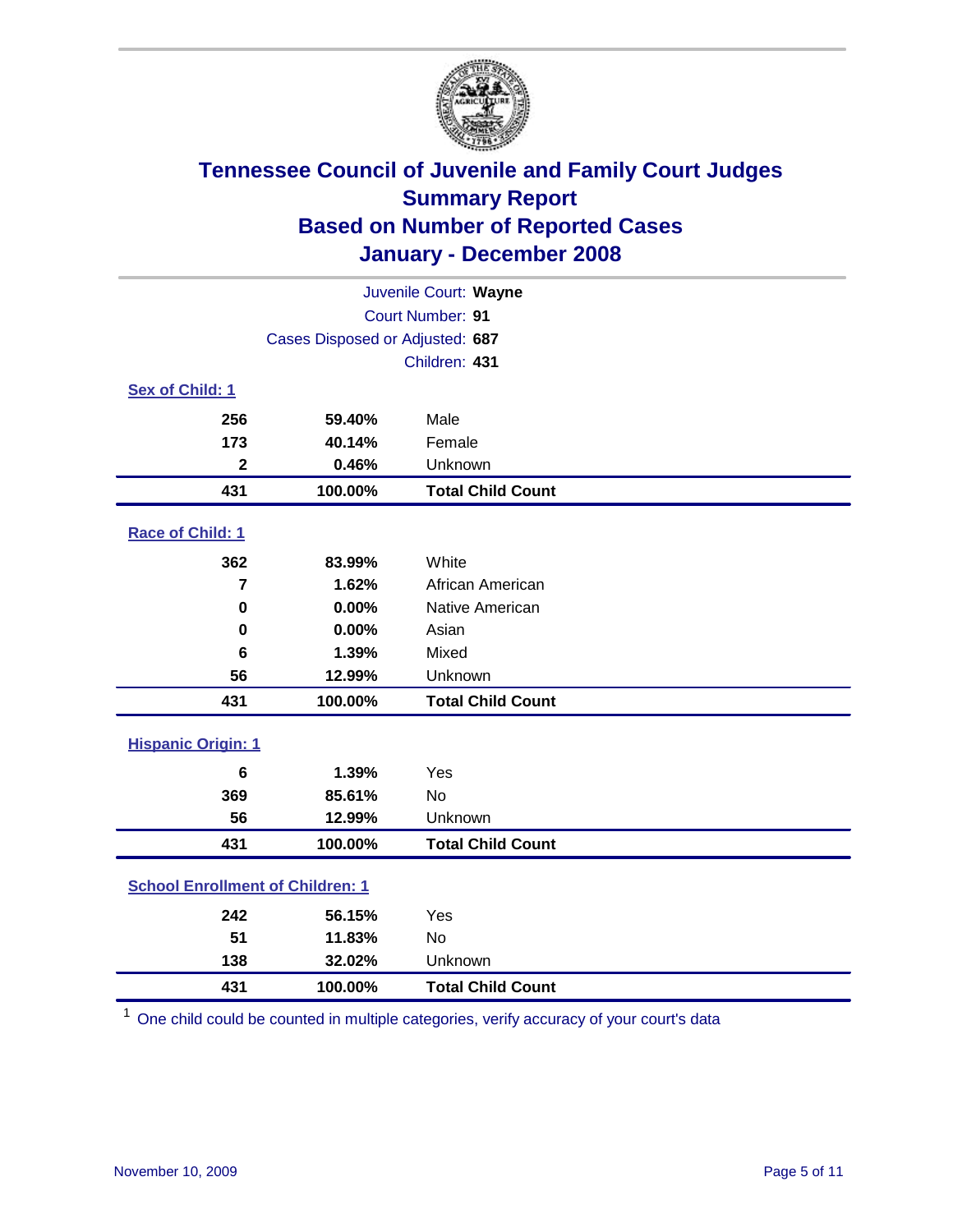

| Juvenile Court: Wayne                   |                                 |                          |  |  |  |
|-----------------------------------------|---------------------------------|--------------------------|--|--|--|
|                                         | <b>Court Number: 91</b>         |                          |  |  |  |
|                                         | Cases Disposed or Adjusted: 687 |                          |  |  |  |
|                                         |                                 | Children: 431            |  |  |  |
| Sex of Child: 1                         |                                 |                          |  |  |  |
| 256                                     | 59.40%                          | Male                     |  |  |  |
| 173                                     | 40.14%                          | Female                   |  |  |  |
| $\mathbf{2}$                            | 0.46%                           | Unknown                  |  |  |  |
| 431                                     | 100.00%                         | <b>Total Child Count</b> |  |  |  |
| Race of Child: 1                        |                                 |                          |  |  |  |
| 362                                     | 83.99%                          | White                    |  |  |  |
| $\overline{7}$                          | 1.62%                           | African American         |  |  |  |
| $\bf{0}$                                | 0.00%                           | Native American          |  |  |  |
| $\bf{0}$                                | 0.00%                           | Asian                    |  |  |  |
| $6\phantom{1}$                          | 1.39%                           | Mixed                    |  |  |  |
| 56                                      | 12.99%                          | Unknown                  |  |  |  |
| 431                                     | 100.00%                         | <b>Total Child Count</b> |  |  |  |
| <b>Hispanic Origin: 1</b>               |                                 |                          |  |  |  |
| $6\phantom{1}$                          | 1.39%                           | Yes                      |  |  |  |
| 369                                     | 85.61%                          | <b>No</b>                |  |  |  |
| 56                                      | 12.99%                          | Unknown                  |  |  |  |
| 431                                     | 100.00%                         | <b>Total Child Count</b> |  |  |  |
| <b>School Enrollment of Children: 1</b> |                                 |                          |  |  |  |
| 242                                     | 56.15%                          | Yes                      |  |  |  |
| 51                                      | 11.83%                          | No                       |  |  |  |
| 138                                     | 32.02%                          | Unknown                  |  |  |  |
| 431                                     | 100.00%                         | <b>Total Child Count</b> |  |  |  |

One child could be counted in multiple categories, verify accuracy of your court's data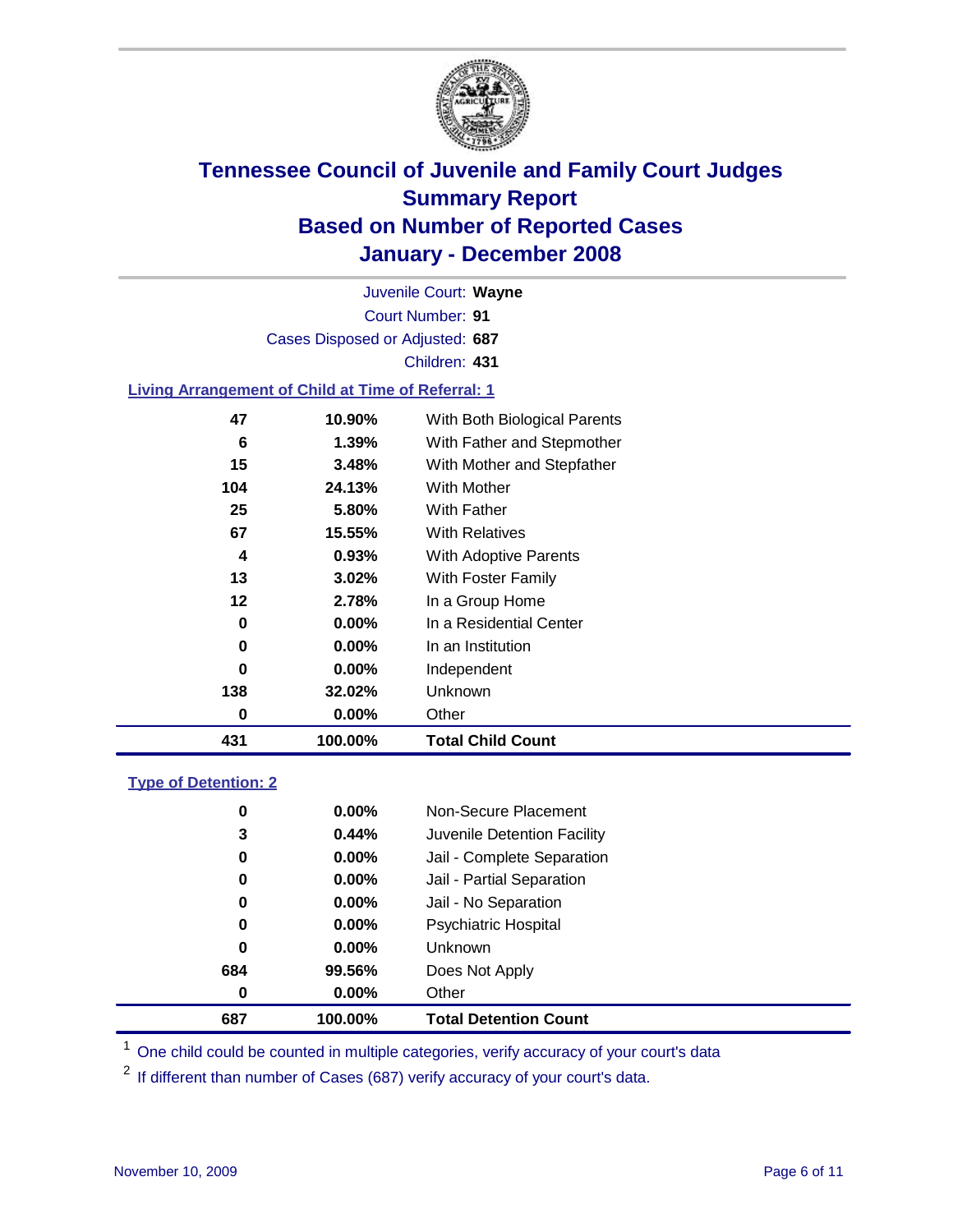

Court Number: **91** Juvenile Court: **Wayne** Cases Disposed or Adjusted: **687** Children: **431**

#### **Living Arrangement of Child at Time of Referral: 1**

| 431 | 100.00%  | <b>Total Child Count</b>     |
|-----|----------|------------------------------|
| 0   | 0.00%    | Other                        |
| 138 | 32.02%   | Unknown                      |
| 0   | $0.00\%$ | Independent                  |
| 0   | 0.00%    | In an Institution            |
| 0   | 0.00%    | In a Residential Center      |
| 12  | 2.78%    | In a Group Home              |
| 13  | 3.02%    | With Foster Family           |
| 4   | 0.93%    | With Adoptive Parents        |
| 67  | 15.55%   | <b>With Relatives</b>        |
| 25  | 5.80%    | With Father                  |
| 104 | 24.13%   | With Mother                  |
| 15  | 3.48%    | With Mother and Stepfather   |
| 6   | 1.39%    | With Father and Stepmother   |
| 47  | 10.90%   | With Both Biological Parents |
|     |          |                              |

#### **Type of Detention: 2**

| 687 | 100.00%  | <b>Total Detention Count</b> |  |
|-----|----------|------------------------------|--|
| 0   | 0.00%    | Other                        |  |
| 684 | 99.56%   | Does Not Apply               |  |
| 0   | 0.00%    | <b>Unknown</b>               |  |
| 0   | 0.00%    | <b>Psychiatric Hospital</b>  |  |
| 0   | 0.00%    | Jail - No Separation         |  |
| 0   | $0.00\%$ | Jail - Partial Separation    |  |
| 0   | $0.00\%$ | Jail - Complete Separation   |  |
| 3   | 0.44%    | Juvenile Detention Facility  |  |
| 0   | $0.00\%$ | Non-Secure Placement         |  |
|     |          |                              |  |

<sup>1</sup> One child could be counted in multiple categories, verify accuracy of your court's data

<sup>2</sup> If different than number of Cases (687) verify accuracy of your court's data.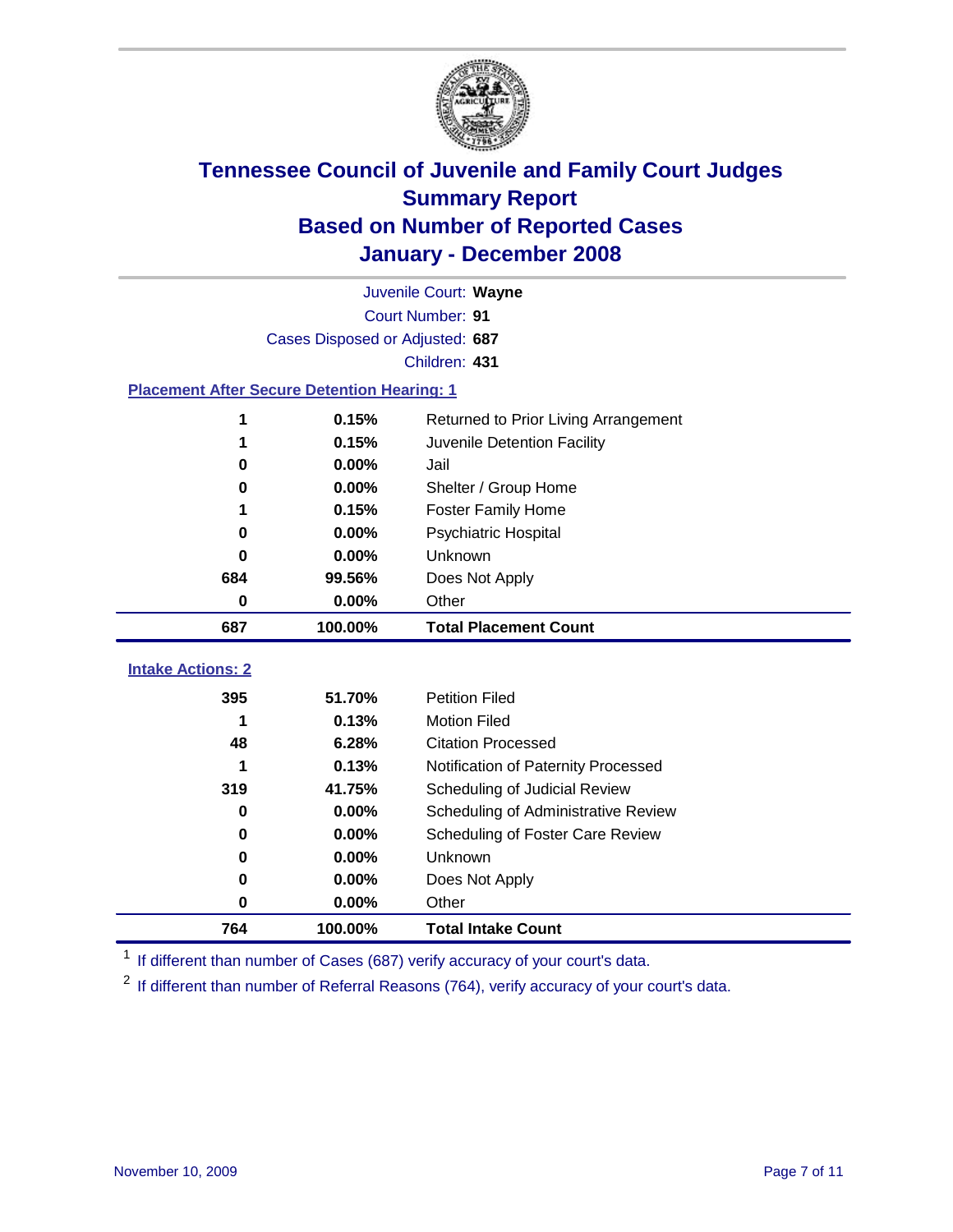

|                                                    | Juvenile Court: Wayne           |                                                                      |  |  |  |
|----------------------------------------------------|---------------------------------|----------------------------------------------------------------------|--|--|--|
|                                                    | Court Number: 91                |                                                                      |  |  |  |
|                                                    | Cases Disposed or Adjusted: 687 |                                                                      |  |  |  |
|                                                    |                                 | Children: 431                                                        |  |  |  |
| <b>Placement After Secure Detention Hearing: 1</b> |                                 |                                                                      |  |  |  |
| 1                                                  | 0.15%                           | Returned to Prior Living Arrangement                                 |  |  |  |
| 1                                                  | 0.15%                           | Juvenile Detention Facility                                          |  |  |  |
| 0                                                  | 0.00%                           | Jail                                                                 |  |  |  |
| 0                                                  | 0.00%                           | Shelter / Group Home                                                 |  |  |  |
| 1                                                  | 0.15%                           | <b>Foster Family Home</b>                                            |  |  |  |
| 0                                                  | 0.00%                           | Psychiatric Hospital                                                 |  |  |  |
| 0                                                  | 0.00%                           | Unknown                                                              |  |  |  |
| 684                                                | 99.56%                          | Does Not Apply                                                       |  |  |  |
| $\bf{0}$                                           | 0.00%                           | Other                                                                |  |  |  |
| 687                                                | 100.00%                         | <b>Total Placement Count</b>                                         |  |  |  |
| <b>Intake Actions: 2</b>                           |                                 |                                                                      |  |  |  |
| 395                                                | 51.70%                          | <b>Petition Filed</b>                                                |  |  |  |
| 1                                                  | 0.13%                           | <b>Motion Filed</b>                                                  |  |  |  |
| 48                                                 | 6.28%                           | <b>Citation Processed</b>                                            |  |  |  |
| 1                                                  | 0.13%                           |                                                                      |  |  |  |
| 319                                                | 41.75%                          | Notification of Paternity Processed                                  |  |  |  |
| 0                                                  | 0.00%                           | Scheduling of Judicial Review<br>Scheduling of Administrative Review |  |  |  |
| 0                                                  | 0.00%                           |                                                                      |  |  |  |
| 0                                                  | 0.00%                           | Scheduling of Foster Care Review                                     |  |  |  |
| $\bf{0}$                                           | 0.00%                           | Unknown                                                              |  |  |  |
|                                                    |                                 | Does Not Apply<br>Other                                              |  |  |  |
| 0                                                  | 0.00%                           |                                                                      |  |  |  |
| 764                                                | 100.00%                         | <b>Total Intake Count</b>                                            |  |  |  |

<sup>1</sup> If different than number of Cases (687) verify accuracy of your court's data.

<sup>2</sup> If different than number of Referral Reasons (764), verify accuracy of your court's data.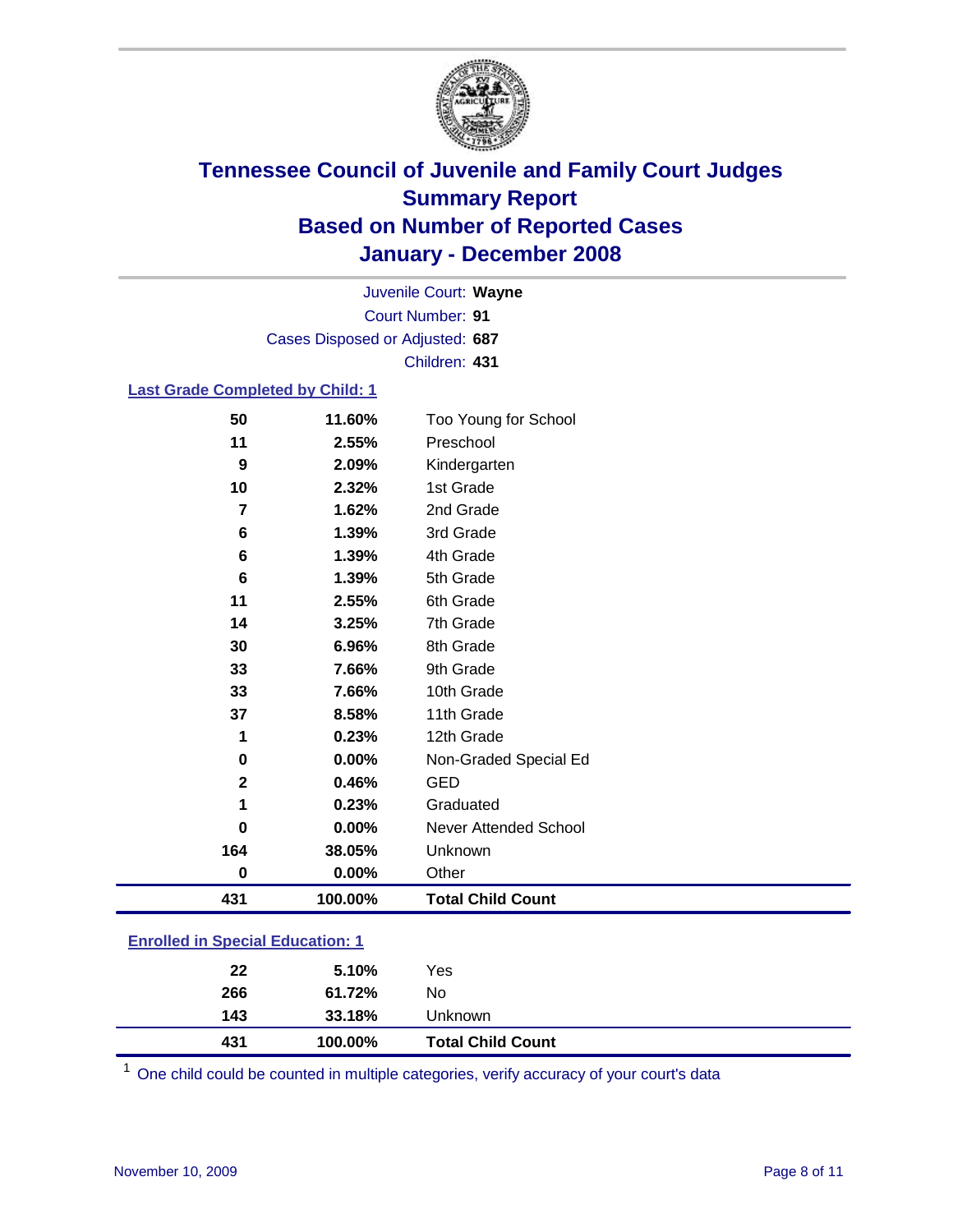

Court Number: **91** Juvenile Court: **Wayne** Cases Disposed or Adjusted: **687** Children: **431**

### **Last Grade Completed by Child: 1**

| 431         | 100.00% | <b>Total Child Count</b>     |
|-------------|---------|------------------------------|
| 0           | 0.00%   | Other                        |
| 164         | 38.05%  | Unknown                      |
| 0           | 0.00%   | <b>Never Attended School</b> |
| 1           | 0.23%   | Graduated                    |
| $\mathbf 2$ | 0.46%   | <b>GED</b>                   |
| 0           | 0.00%   | Non-Graded Special Ed        |
| 1           | 0.23%   | 12th Grade                   |
| 37          | 8.58%   | 11th Grade                   |
| 33          | 7.66%   | 10th Grade                   |
| 33          | 7.66%   | 9th Grade                    |
| 30          | 6.96%   | 8th Grade                    |
| 14          | 3.25%   | 7th Grade                    |
| 11          | 2.55%   | 6th Grade                    |
| 6           | 1.39%   | 5th Grade                    |
| 6           | 1.39%   | 4th Grade                    |
| 6           | 1.39%   | 3rd Grade                    |
| 7           | 1.62%   | 2nd Grade                    |
| 10          | 2.32%   | 1st Grade                    |
| 9           | 2.09%   | Kindergarten                 |
| 11          | 2.55%   | Preschool                    |
| 50          | 11.60%  | Too Young for School         |

### **Enrolled in Special Education: 1**

| 431 | 100.00% | <b>Total Child Count</b> |
|-----|---------|--------------------------|
| 143 | 33.18%  | Unknown                  |
| 266 | 61.72%  | No                       |
| 22  | 5.10%   | Yes                      |
|     |         |                          |

<sup>1</sup> One child could be counted in multiple categories, verify accuracy of your court's data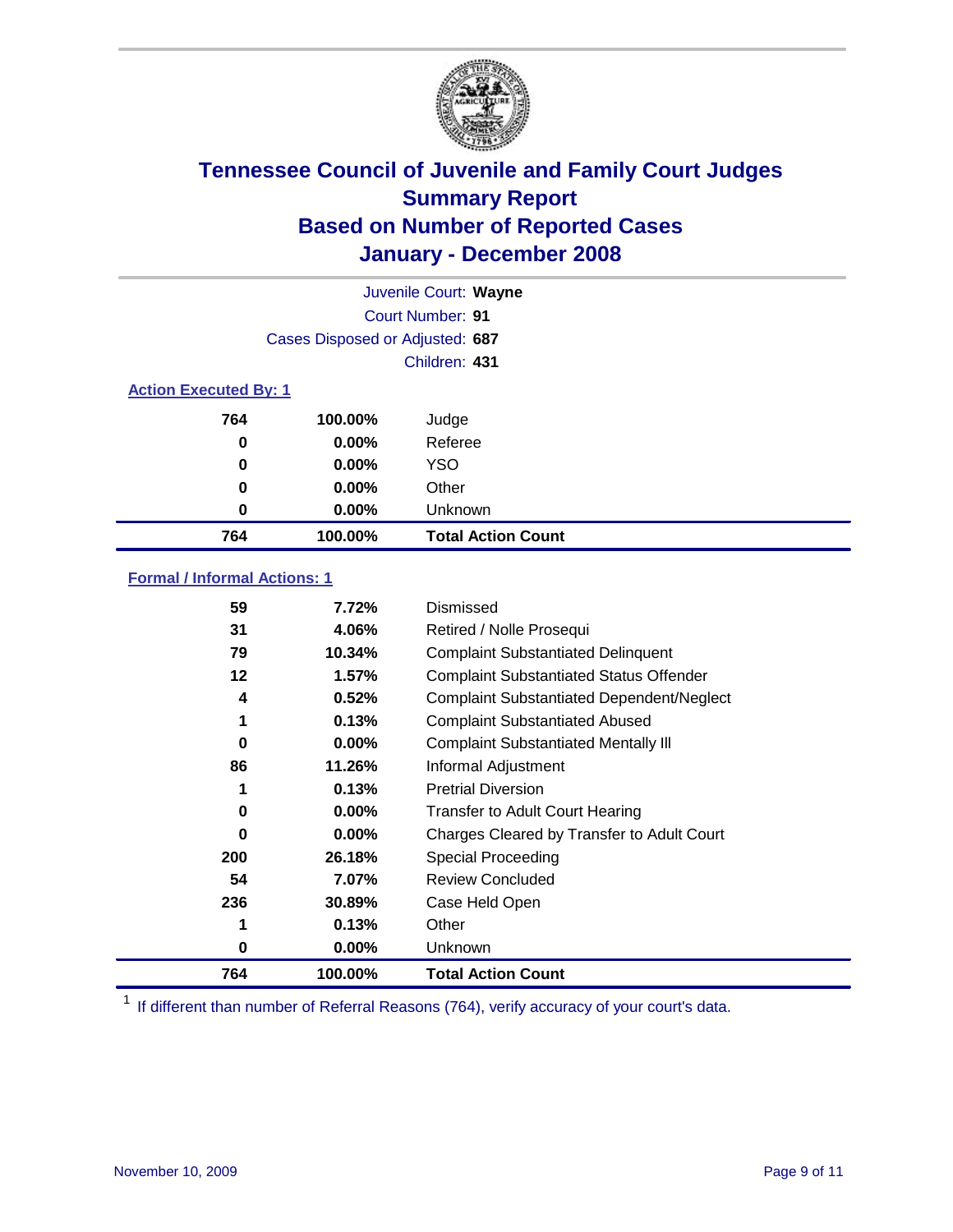

|                              |                                 | Juvenile Court: Wayne     |
|------------------------------|---------------------------------|---------------------------|
|                              |                                 | Court Number: 91          |
|                              | Cases Disposed or Adjusted: 687 |                           |
|                              |                                 | Children: 431             |
| <b>Action Executed By: 1</b> |                                 |                           |
| 764                          | 100.00%                         | Judge                     |
| 0                            | $0.00\%$                        | Referee                   |
| 0                            | $0.00\%$                        | <b>YSO</b>                |
| 0                            | $0.00\%$                        | Other                     |
| 0                            | $0.00\%$                        | Unknown                   |
| 764                          | 100.00%                         | <b>Total Action Count</b> |

### **Formal / Informal Actions: 1**

| 59  | 7.72%    | Dismissed                                        |
|-----|----------|--------------------------------------------------|
| 31  | 4.06%    | Retired / Nolle Prosequi                         |
| 79  | 10.34%   | <b>Complaint Substantiated Delinquent</b>        |
| 12  | 1.57%    | <b>Complaint Substantiated Status Offender</b>   |
| 4   | 0.52%    | <b>Complaint Substantiated Dependent/Neglect</b> |
| 1   | 0.13%    | <b>Complaint Substantiated Abused</b>            |
| 0   | $0.00\%$ | <b>Complaint Substantiated Mentally III</b>      |
| 86  | 11.26%   | Informal Adjustment                              |
| 1   | 0.13%    | <b>Pretrial Diversion</b>                        |
| 0   | $0.00\%$ | <b>Transfer to Adult Court Hearing</b>           |
| 0   | $0.00\%$ | Charges Cleared by Transfer to Adult Court       |
| 200 | 26.18%   | Special Proceeding                               |
| 54  | 7.07%    | <b>Review Concluded</b>                          |
| 236 | 30.89%   | Case Held Open                                   |
| 1   | 0.13%    | Other                                            |
| 0   | $0.00\%$ | <b>Unknown</b>                                   |
| 764 | 100.00%  | <b>Total Action Count</b>                        |

<sup>1</sup> If different than number of Referral Reasons (764), verify accuracy of your court's data.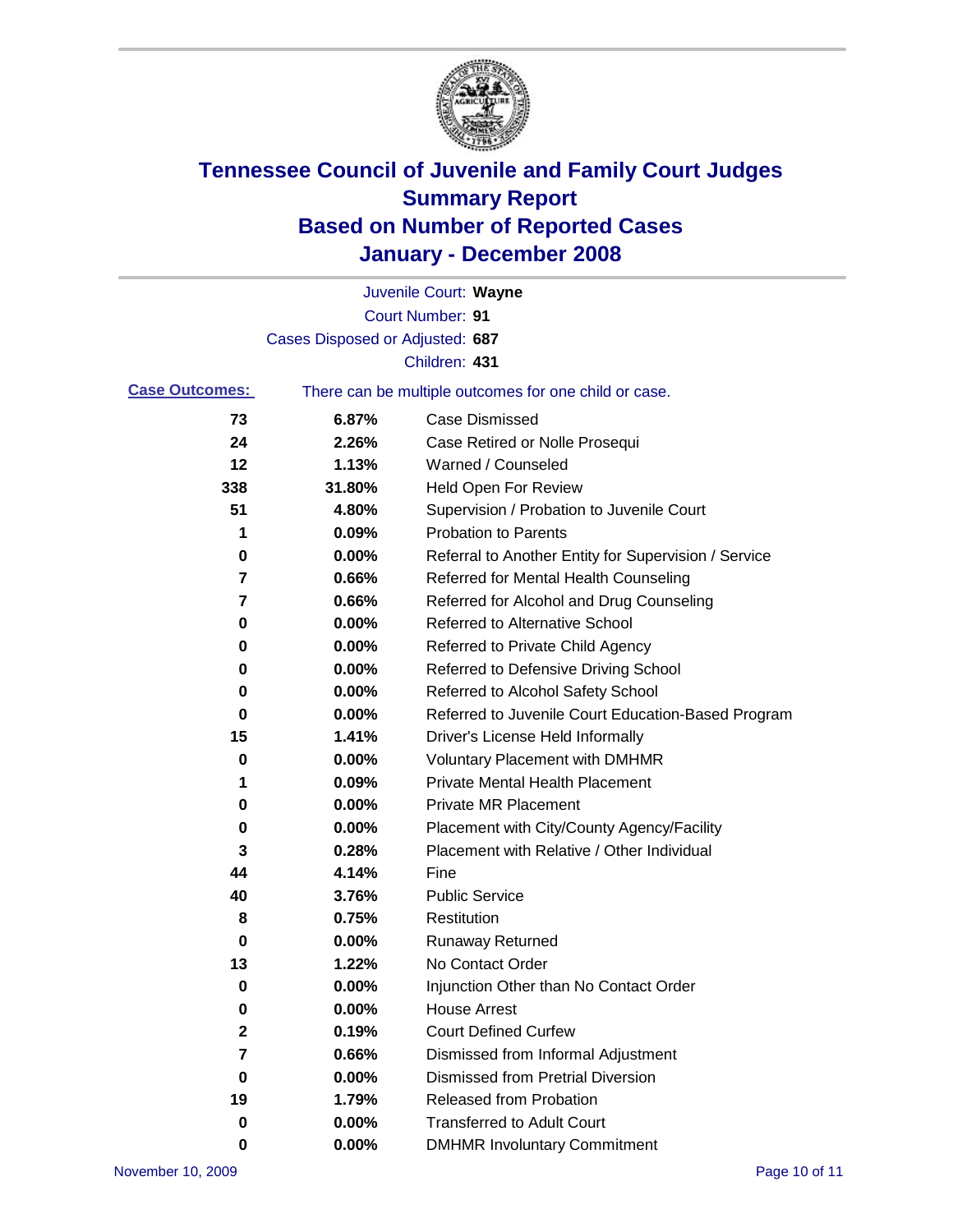

|                       |                                 | Juvenile Court: Wayne                                 |
|-----------------------|---------------------------------|-------------------------------------------------------|
|                       |                                 | Court Number: 91                                      |
|                       | Cases Disposed or Adjusted: 687 |                                                       |
|                       |                                 | Children: 431                                         |
| <b>Case Outcomes:</b> |                                 | There can be multiple outcomes for one child or case. |
| 73                    | 6.87%                           | <b>Case Dismissed</b>                                 |
| 24                    | 2.26%                           | Case Retired or Nolle Prosequi                        |
| 12                    | 1.13%                           | Warned / Counseled                                    |
| 338                   | 31.80%                          | Held Open For Review                                  |
| 51                    | 4.80%                           | Supervision / Probation to Juvenile Court             |
| 1                     | 0.09%                           | <b>Probation to Parents</b>                           |
| 0                     | 0.00%                           | Referral to Another Entity for Supervision / Service  |
| 7                     | 0.66%                           | Referred for Mental Health Counseling                 |
| 7                     | 0.66%                           | Referred for Alcohol and Drug Counseling              |
| 0                     | 0.00%                           | <b>Referred to Alternative School</b>                 |
| 0                     | 0.00%                           | Referred to Private Child Agency                      |
| 0                     | 0.00%                           | Referred to Defensive Driving School                  |
| 0                     | 0.00%                           | Referred to Alcohol Safety School                     |
| 0                     | 0.00%                           | Referred to Juvenile Court Education-Based Program    |
| 15                    | 1.41%                           | Driver's License Held Informally                      |
| 0                     | 0.00%                           | <b>Voluntary Placement with DMHMR</b>                 |
| 1                     | 0.09%                           | <b>Private Mental Health Placement</b>                |
| 0                     | 0.00%                           | <b>Private MR Placement</b>                           |
| 0                     | 0.00%                           | Placement with City/County Agency/Facility            |
| 3                     | 0.28%                           | Placement with Relative / Other Individual            |
| 44                    | 4.14%                           | Fine                                                  |
| 40                    | 3.76%                           | <b>Public Service</b>                                 |
| 8                     | 0.75%                           | Restitution                                           |
| 0                     | 0.00%                           | <b>Runaway Returned</b>                               |
| 13                    | 1.22%                           | No Contact Order                                      |
| 0                     | 0.00%                           | Injunction Other than No Contact Order                |
| 0                     | 0.00%                           | <b>House Arrest</b>                                   |
| 2                     | 0.19%                           | <b>Court Defined Curfew</b>                           |
| 7                     | 0.66%                           | Dismissed from Informal Adjustment                    |
| 0                     | 0.00%                           | <b>Dismissed from Pretrial Diversion</b>              |
| 19                    | 1.79%                           | Released from Probation                               |
| 0                     | 0.00%                           | <b>Transferred to Adult Court</b>                     |
| 0                     | $0.00\%$                        | <b>DMHMR Involuntary Commitment</b>                   |